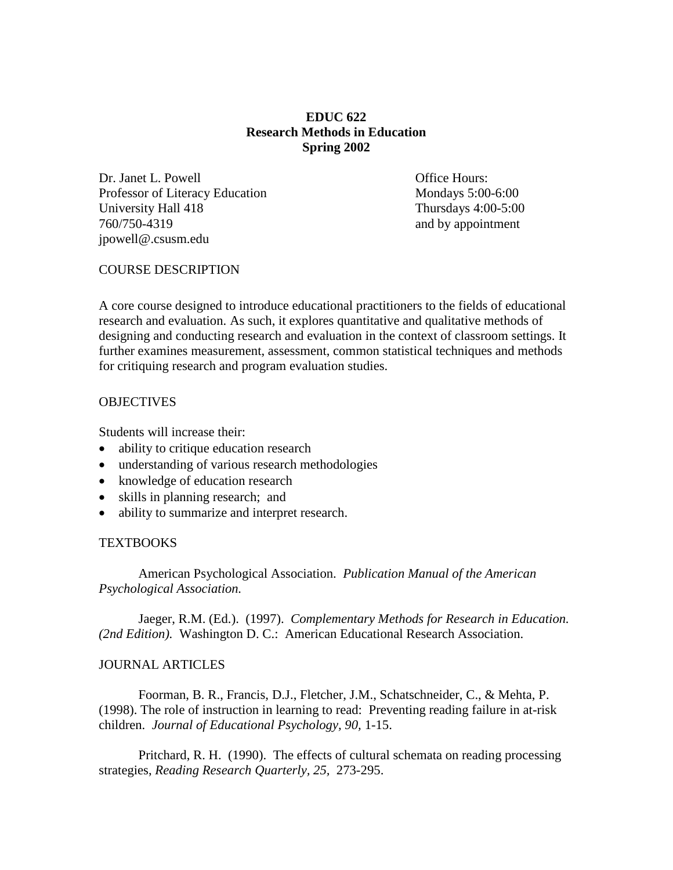# **EDUC 622 Research Methods in Education Spring 2002**

Dr. Janet L. Powell **Dr. Janet L. Powell Office Hours:** Professor of Literacy Education Mondays 5:00-6:00 University Hall 418 Thursday 4:00-5:00 760/750-4319 and by appointment jpowell@.csusm.edu

### COURSE DESCRIPTION

A core course designed to introduce educational practitioners to the fields of educational research and evaluation. As such, it explores quantitative and qualitative methods of designing and conducting research and evaluation in the context of classroom settings. It further examines measurement, assessment, common statistical techniques and methods for critiquing research and program evaluation studies.

## **OBJECTIVES**

Students will increase their:

- ability to critique education research
- understanding of various research methodologies
- knowledge of education research
- skills in planning research; and
- ability to summarize and interpret research.

#### **TEXTBOOKS**

American Psychological Association. *Publication Manual of the American Psychological Association.*

Jaeger, R.M. (Ed.). (1997). *Complementary Methods for Research in Education. (2nd Edition).* Washington D. C.: American Educational Research Association.

### JOURNAL ARTICLES

Foorman, B. R., Francis, D.J., Fletcher, J.M., Schatschneider, C., & Mehta, P. (1998). The role of instruction in learning to read: Preventing reading failure in at-risk children. *Journal of Educational Psychology, 90,* 1-15.

Pritchard, R. H. (1990). The effects of cultural schemata on reading processing strategies, *Reading Research Quarterly, 25,* 273-295.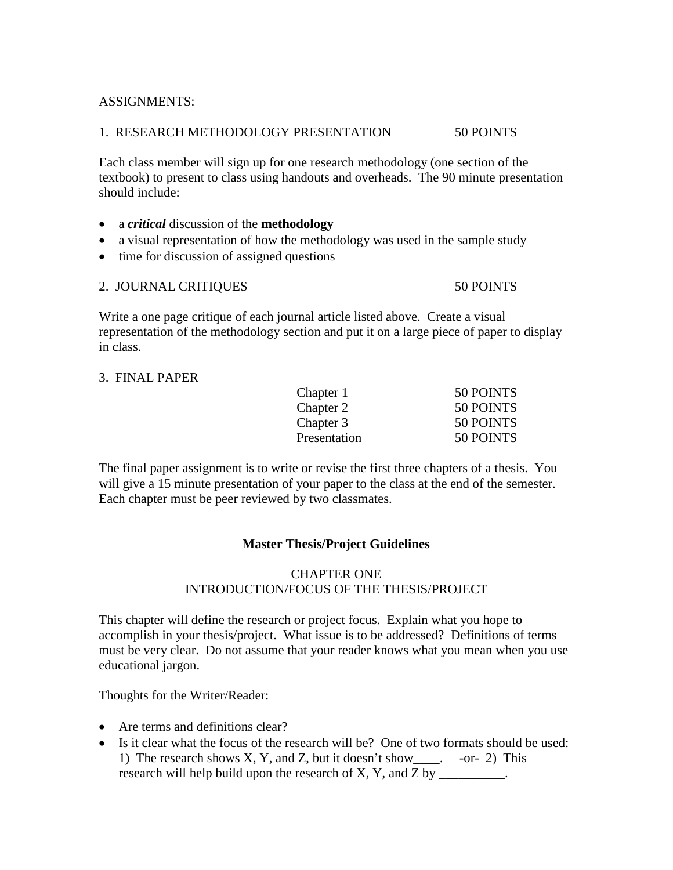# ASSIGNMENTS:

## 1. RESEARCH METHODOLOGY PRESENTATION 50 POINTS

Each class member will sign up for one research methodology (one section of the textbook) to present to class using handouts and overheads. The 90 minute presentation should include:

### • a *critical* discussion of the **methodology**

- a visual representation of how the methodology was used in the sample study
- time for discussion of assigned questions

# 2. JOURNAL CRITIQUES 50 POINTS

Write a one page critique of each journal article listed above. Create a visual representation of the methodology section and put it on a large piece of paper to display in class.

#### 3. FINAL PAPER

| 50 POINTS |
|-----------|
| 50 POINTS |
| 50 POINTS |
| 50 POINTS |
|           |

The final paper assignment is to write or revise the first three chapters of a thesis. You will give a 15 minute presentation of your paper to the class at the end of the semester. Each chapter must be peer reviewed by two classmates.

# **Master Thesis/Project Guidelines**

# CHAPTER ONE INTRODUCTION/FOCUS OF THE THESIS/PROJECT

This chapter will define the research or project focus. Explain what you hope to accomplish in your thesis/project. What issue is to be addressed? Definitions of terms must be very clear. Do not assume that your reader knows what you mean when you use educational jargon.

Thoughts for the Writer/Reader:

- Are terms and definitions clear?
- Is it clear what the focus of the research will be? One of two formats should be used: 1) The research shows X, Y, and Z, but it doesn't show\_\_\_\_. -or- 2) This research will help build upon the research of X, Y, and Z by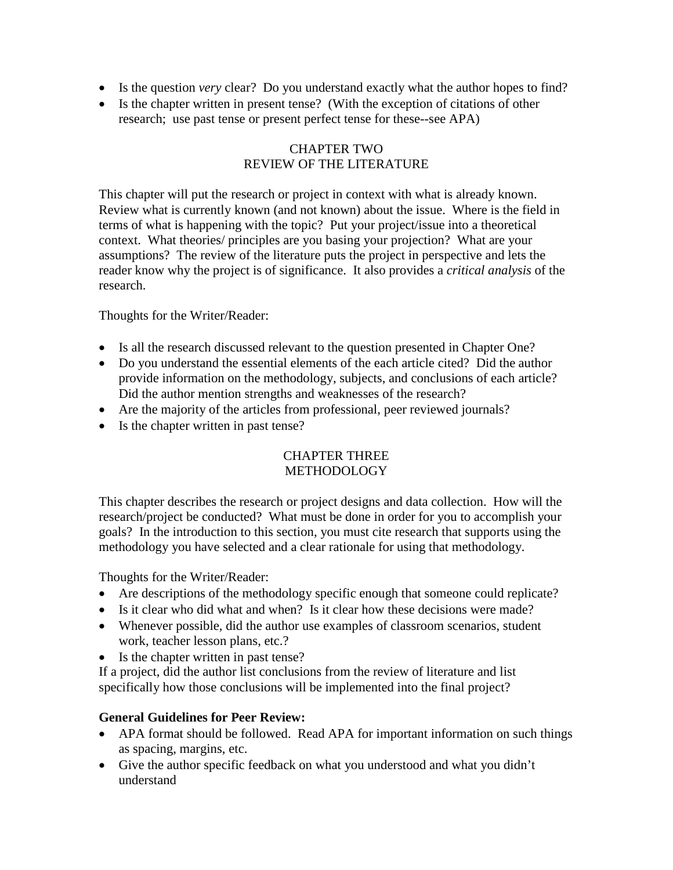- Is the question *very* clear? Do you understand exactly what the author hopes to find?
- Is the chapter written in present tense? (With the exception of citations of other research; use past tense or present perfect tense for these--see APA)

# CHAPTER TWO REVIEW OF THE LITERATURE

This chapter will put the research or project in context with what is already known. Review what is currently known (and not known) about the issue. Where is the field in terms of what is happening with the topic? Put your project/issue into a theoretical context. What theories/ principles are you basing your projection? What are your assumptions? The review of the literature puts the project in perspective and lets the reader know why the project is of significance. It also provides a *critical analysis* of the research.

Thoughts for the Writer/Reader:

- Is all the research discussed relevant to the question presented in Chapter One?
- Do you understand the essential elements of the each article cited? Did the author provide information on the methodology, subjects, and conclusions of each article? Did the author mention strengths and weaknesses of the research?
- Are the majority of the articles from professional, peer reviewed journals?
- Is the chapter written in past tense?

# CHAPTER THREE METHODOLOGY

This chapter describes the research or project designs and data collection. How will the research/project be conducted? What must be done in order for you to accomplish your goals? In the introduction to this section, you must cite research that supports using the methodology you have selected and a clear rationale for using that methodology.

Thoughts for the Writer/Reader:

- Are descriptions of the methodology specific enough that someone could replicate?
- Is it clear who did what and when? Is it clear how these decisions were made?
- Whenever possible, did the author use examples of classroom scenarios, student work, teacher lesson plans, etc.?
- Is the chapter written in past tense?

If a project, did the author list conclusions from the review of literature and list specifically how those conclusions will be implemented into the final project?

# **General Guidelines for Peer Review:**

- APA format should be followed. Read APA for important information on such things as spacing, margins, etc.
- Give the author specific feedback on what you understood and what you didn't understand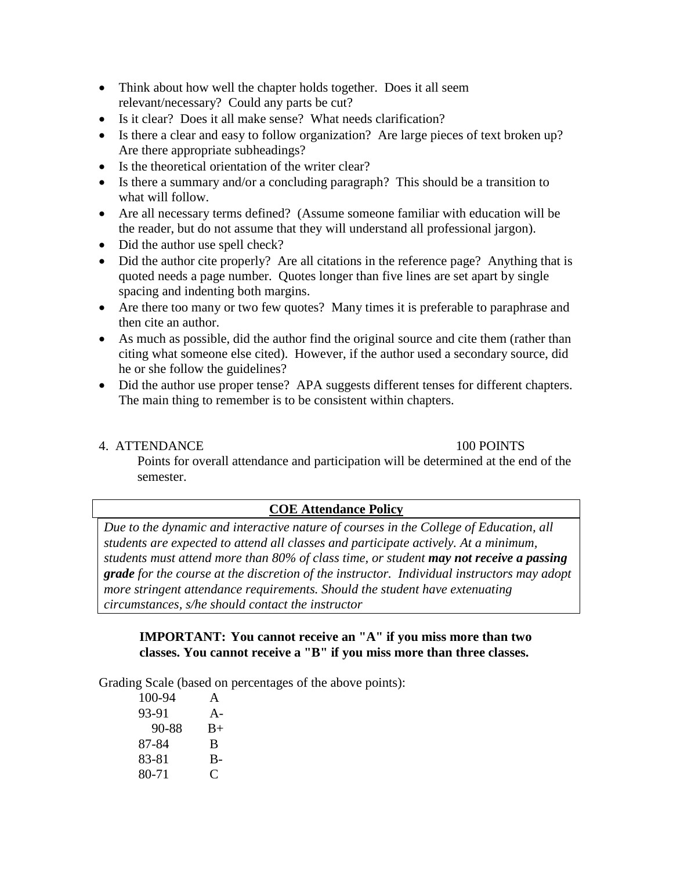- Think about how well the chapter holds together. Does it all seem relevant/necessary? Could any parts be cut?
- Is it clear? Does it all make sense? What needs clarification?
- Is there a clear and easy to follow organization? Are large pieces of text broken up? Are there appropriate subheadings?
- Is the theoretical orientation of the writer clear?
- Is there a summary and/or a concluding paragraph? This should be a transition to what will follow.
- Are all necessary terms defined? (Assume someone familiar with education will be the reader, but do not assume that they will understand all professional jargon).
- Did the author use spell check?
- Did the author cite properly? Are all citations in the reference page? Anything that is quoted needs a page number. Quotes longer than five lines are set apart by single spacing and indenting both margins.
- Are there too many or two few quotes? Many times it is preferable to paraphrase and then cite an author.
- As much as possible, did the author find the original source and cite them (rather than citing what someone else cited). However, if the author used a secondary source, did he or she follow the guidelines?
- Did the author use proper tense? APA suggests different tenses for different chapters. The main thing to remember is to be consistent within chapters.

# 4. ATTENDANCE 100 POINTS

Points for overall attendance and participation will be determined at the end of the semester.

# **COE Attendance Policy**

*Due to the dynamic and interactive nature of courses in the College of Education, all students are expected to attend all classes and participate actively. At a minimum, students must attend more than 80% of class time, or student may not receive a passing grade for the course at the discretion of the instructor. Individual instructors may adopt more stringent attendance requirements. Should the student have extenuating circumstances, s/he should contact the instructor*

**IMPORTANT: You cannot receive an "A" if you miss more than two classes. You cannot receive a "B" if you miss more than three classes.**

Grading Scale (based on percentages of the above points):

100-94 A 93-91 A- 90-88 B+ 87-84 B 83-81 B-80-71 C